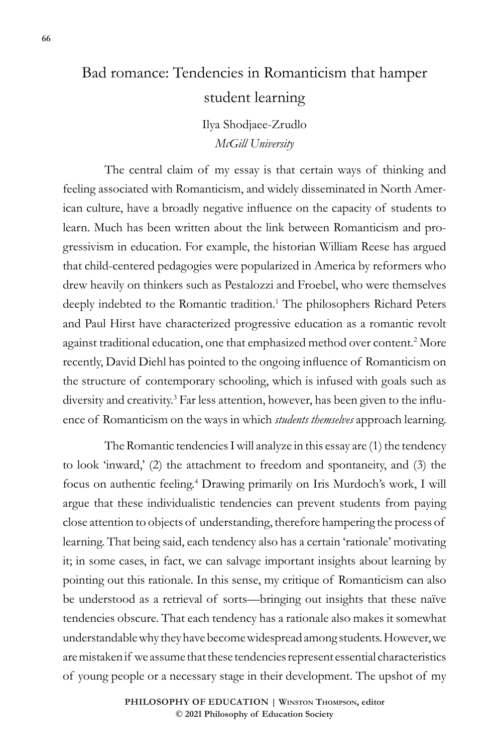# Bad romance: Tendencies in Romanticism that hamper student learning

Ilya Shodjaee-Zrudlo *McGill University* 

The central claim of my essay is that certain ways of thinking and feeling associated with Romanticism, and widely disseminated in North American culture, have a broadly negative influence on the capacity of students to learn. Much has been written about the link between Romanticism and progressivism in education. For example, the historian William Reese has argued that child-centered pedagogies were popularized in America by reformers who drew heavily on thinkers such as Pestalozzi and Froebel, who were themselves deeply indebted to the Romantic tradition.<sup>1</sup> The philosophers Richard Peters and Paul Hirst have characterized progressive education as a romantic revolt against traditional education, one that emphasized method over content.<sup>2</sup> More recently, David Diehl has pointed to the ongoing influence of Romanticism on the structure of contemporary schooling, which is infused with goals such as diversity and creativity.3 Far less attention, however, has been given to the influence of Romanticism on the ways in which *students themselves* approach learning.

The Romantic tendencies I will analyze in this essay are (1) the tendency to look 'inward,' (2) the attachment to freedom and spontaneity, and (3) the focus on authentic feeling.<sup>4</sup> Drawing primarily on Iris Murdoch's work, I will argue that these individualistic tendencies can prevent students from paying close attention to objects of understanding, therefore hampering the process of learning. That being said, each tendency also has a certain 'rationale' motivating it; in some cases, in fact, we can salvage important insights about learning by pointing out this rationale. In this sense, my critique of Romanticism can also be understood as a retrieval of sorts—bringing out insights that these naïve tendencies obscure. That each tendency has a rationale also makes it somewhat understandable why they have become widespread among students. However, we are mistaken if we assume that these tendencies represent essential characteristics of young people or a necessary stage in their development. The upshot of my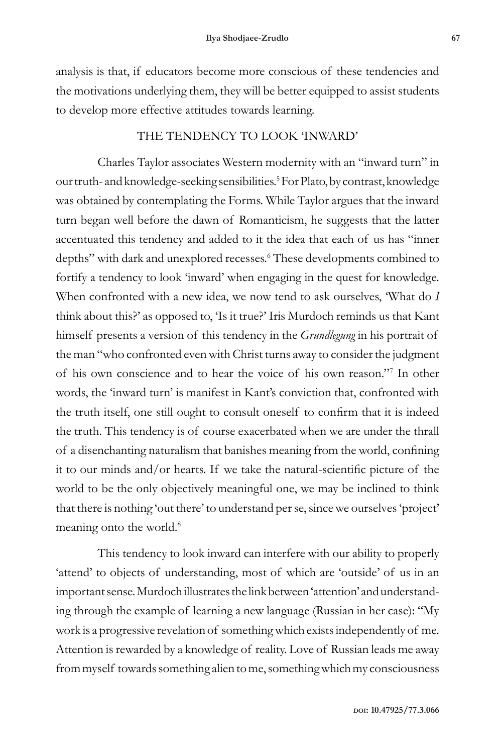analysis is that, if educators become more conscious of these tendencies and the motivations underlying them, they will be better equipped to assist students to develop more effective attitudes towards learning.

## THE TENDENCY TO LOOK 'INWARD'

Charles Taylor associates Western modernity with an "inward turn" in our truth- and knowledge-seeking sensibilities.<sup>5</sup> For Plato, by contrast, knowledge was obtained by contemplating the Forms. While Taylor argues that the inward turn began well before the dawn of Romanticism, he suggests that the latter accentuated this tendency and added to it the idea that each of us has "inner depths" with dark and unexplored recesses.<sup>6</sup> These developments combined to fortify a tendency to look 'inward' when engaging in the quest for knowledge. When confronted with a new idea, we now tend to ask ourselves, 'What do *I* think about this?' as opposed to, 'Is it true?' Iris Murdoch reminds us that Kant himself presents a version of this tendency in the *Grundlegung* in his portrait of the man "who confronted even with Christ turns away to consider the judgment of his own conscience and to hear the voice of his own reason."7 In other words, the 'inward turn' is manifest in Kant's conviction that, confronted with the truth itself, one still ought to consult oneself to confirm that it is indeed the truth. This tendency is of course exacerbated when we are under the thrall of a disenchanting naturalism that banishes meaning from the world, confining it to our minds and/or hearts. If we take the natural-scientific picture of the world to be the only objectively meaningful one, we may be inclined to think that there is nothing 'out there' to understand per se, since we ourselves 'project' meaning onto the world.<sup>8</sup>

This tendency to look inward can interfere with our ability to properly 'attend' to objects of understanding, most of which are 'outside' of us in an important sense. Murdoch illustrates the link between 'attention' and understanding through the example of learning a new language (Russian in her case): "My work is a progressive revelation of something which exists independently of me. Attention is rewarded by a knowledge of reality. Love of Russian leads me away from myself towards something alien to me, something which my consciousness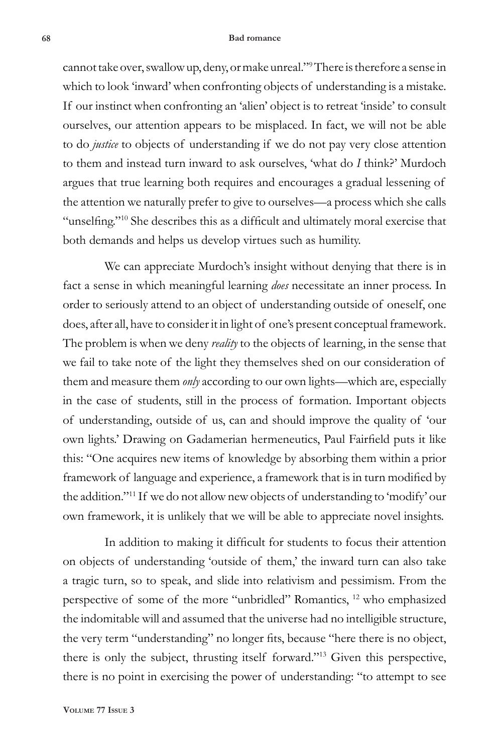#### **68 Bad romance**

cannot take over, swallow up, deny, or make unreal."9 There is therefore a sense in which to look 'inward' when confronting objects of understanding is a mistake. If our instinct when confronting an 'alien' object is to retreat 'inside' to consult ourselves, our attention appears to be misplaced. In fact, we will not be able to do *justice* to objects of understanding if we do not pay very close attention to them and instead turn inward to ask ourselves, 'what do *I* think?' Murdoch argues that true learning both requires and encourages a gradual lessening of the attention we naturally prefer to give to ourselves—a process which she calls "unselfing."<sup>10</sup> She describes this as a difficult and ultimately moral exercise that both demands and helps us develop virtues such as humility.

We can appreciate Murdoch's insight without denying that there is in fact a sense in which meaningful learning *does* necessitate an inner process. In order to seriously attend to an object of understanding outside of oneself, one does, after all, have to consider it in light of one's present conceptual framework. The problem is when we deny *reality* to the objects of learning, in the sense that we fail to take note of the light they themselves shed on our consideration of them and measure them *only* according to our own lights—which are, especially in the case of students, still in the process of formation. Important objects of understanding, outside of us, can and should improve the quality of 'our own lights.' Drawing on Gadamerian hermeneutics, Paul Fairfield puts it like this: "One acquires new items of knowledge by absorbing them within a prior framework of language and experience, a framework that is in turn modified by the addition."11 If we do not allow new objects of understanding to 'modify' our own framework, it is unlikely that we will be able to appreciate novel insights.

In addition to making it difficult for students to focus their attention on objects of understanding 'outside of them,' the inward turn can also take a tragic turn, so to speak, and slide into relativism and pessimism. From the perspective of some of the more "unbridled" Romantics, 12 who emphasized the indomitable will and assumed that the universe had no intelligible structure, the very term "understanding" no longer fits, because "here there is no object, there is only the subject, thrusting itself forward."13 Given this perspective, there is no point in exercising the power of understanding: "to attempt to see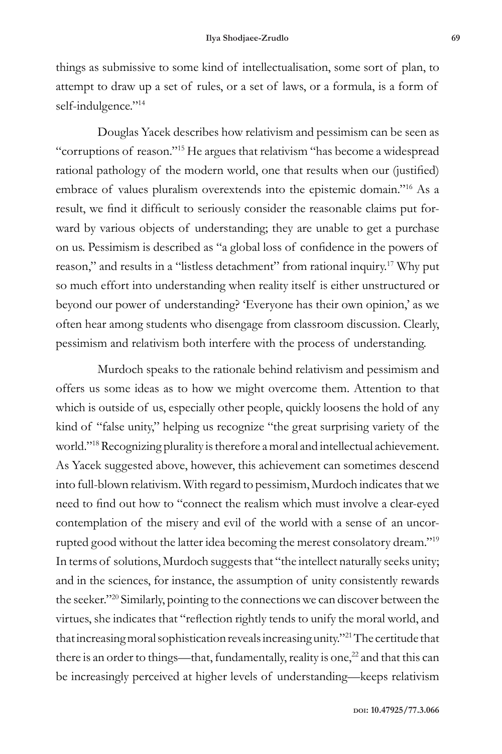things as submissive to some kind of intellectualisation, some sort of plan, to attempt to draw up a set of rules, or a set of laws, or a formula, is a form of self-indulgence."<sup>14</sup>

Douglas Yacek describes how relativism and pessimism can be seen as "corruptions of reason."15 He argues that relativism "has become a widespread rational pathology of the modern world, one that results when our (justified) embrace of values pluralism overextends into the epistemic domain."16 As a result, we find it difficult to seriously consider the reasonable claims put forward by various objects of understanding; they are unable to get a purchase on us. Pessimism is described as "a global loss of confidence in the powers of reason," and results in a "listless detachment" from rational inquiry.<sup>17</sup> Why put so much effort into understanding when reality itself is either unstructured or beyond our power of understanding? 'Everyone has their own opinion,' as we often hear among students who disengage from classroom discussion. Clearly, pessimism and relativism both interfere with the process of understanding.

Murdoch speaks to the rationale behind relativism and pessimism and offers us some ideas as to how we might overcome them. Attention to that which is outside of us, especially other people, quickly loosens the hold of any kind of "false unity," helping us recognize "the great surprising variety of the world."18 Recognizing plurality is therefore a moral and intellectual achievement. As Yacek suggested above, however, this achievement can sometimes descend into full-blown relativism. With regard to pessimism, Murdoch indicates that we need to find out how to "connect the realism which must involve a clear-eyed contemplation of the misery and evil of the world with a sense of an uncorrupted good without the latter idea becoming the merest consolatory dream."19 In terms of solutions, Murdoch suggests that "the intellect naturally seeks unity; and in the sciences, for instance, the assumption of unity consistently rewards the seeker."20 Similarly, pointing to the connections we can discover between the virtues, she indicates that "reflection rightly tends to unify the moral world, and that increasing moral sophistication reveals increasing unity."21 The certitude that there is an order to things—that, fundamentally, reality is one, $^{22}$  and that this can be increasingly perceived at higher levels of understanding—keeps relativism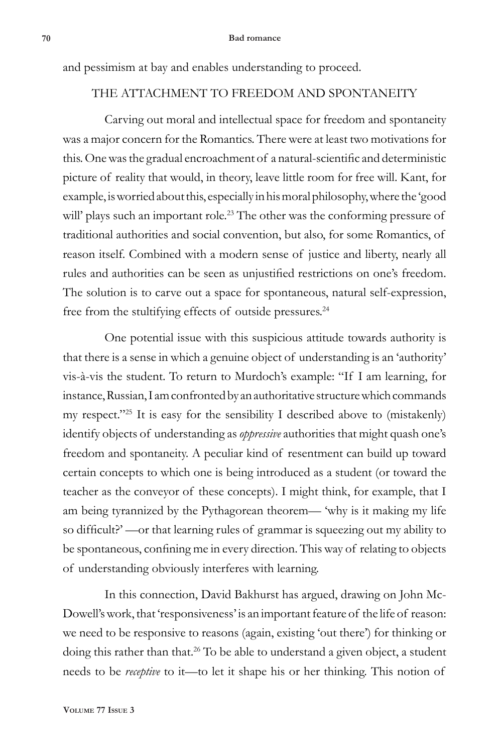and pessimism at bay and enables understanding to proceed.

# THE ATTACHMENT TO FREEDOM AND SPONTANEITY

Carving out moral and intellectual space for freedom and spontaneity was a major concern for the Romantics. There were at least two motivations for this. One was the gradual encroachment of a natural-scientific and deterministic picture of reality that would, in theory, leave little room for free will. Kant, for example, is worried about this, especially in his moral philosophy, where the 'good will' plays such an important role.<sup>23</sup> The other was the conforming pressure of traditional authorities and social convention, but also, for some Romantics, of reason itself. Combined with a modern sense of justice and liberty, nearly all rules and authorities can be seen as unjustified restrictions on one's freedom. The solution is to carve out a space for spontaneous, natural self-expression, free from the stultifying effects of outside pressures.<sup>24</sup>

One potential issue with this suspicious attitude towards authority is that there is a sense in which a genuine object of understanding is an 'authority' vis-à-vis the student. To return to Murdoch's example: "If I am learning, for instance, Russian, I am confronted by an authoritative structure which commands my respect."<sup>25</sup> It is easy for the sensibility I described above to (mistakenly) identify objects of understanding as *oppressive* authorities that might quash one's freedom and spontaneity. A peculiar kind of resentment can build up toward certain concepts to which one is being introduced as a student (or toward the teacher as the conveyor of these concepts). I might think, for example, that I am being tyrannized by the Pythagorean theorem— 'why is it making my life so difficult?' —or that learning rules of grammar is squeezing out my ability to be spontaneous, confining me in every direction. This way of relating to objects of understanding obviously interferes with learning.

In this connection, David Bakhurst has argued, drawing on John Mc-Dowell's work, that 'responsiveness' is an important feature of the life of reason: we need to be responsive to reasons (again, existing 'out there') for thinking or doing this rather than that.<sup>26</sup> To be able to understand a given object, a student needs to be *receptive* to it—to let it shape his or her thinking. This notion of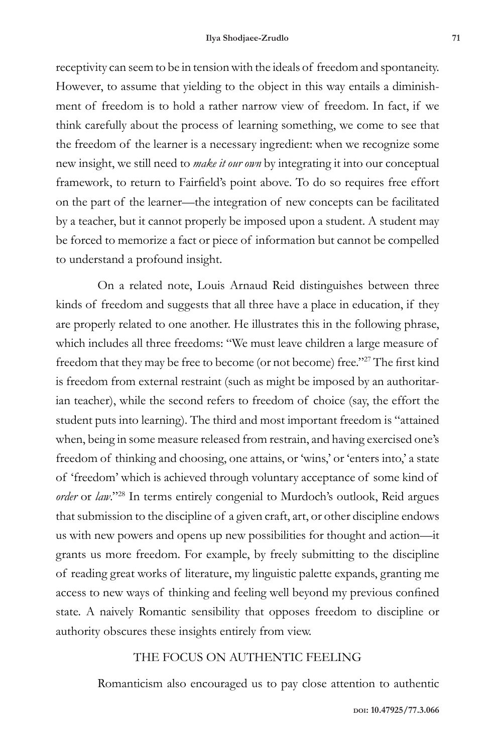receptivity can seem to be in tension with the ideals of freedom and spontaneity. However, to assume that yielding to the object in this way entails a diminishment of freedom is to hold a rather narrow view of freedom. In fact, if we think carefully about the process of learning something, we come to see that the freedom of the learner is a necessary ingredient: when we recognize some new insight, we still need to *make it our own* by integrating it into our conceptual framework, to return to Fairfield's point above. To do so requires free effort on the part of the learner—the integration of new concepts can be facilitated by a teacher, but it cannot properly be imposed upon a student. A student may be forced to memorize a fact or piece of information but cannot be compelled to understand a profound insight.

On a related note, Louis Arnaud Reid distinguishes between three kinds of freedom and suggests that all three have a place in education, if they are properly related to one another. He illustrates this in the following phrase, which includes all three freedoms: "We must leave children a large measure of freedom that they may be free to become (or not become) free."27 The first kind is freedom from external restraint (such as might be imposed by an authoritarian teacher), while the second refers to freedom of choice (say, the effort the student puts into learning). The third and most important freedom is "attained when, being in some measure released from restrain, and having exercised one's freedom of thinking and choosing, one attains, or 'wins,' or 'enters into,' a state of 'freedom' which is achieved through voluntary acceptance of some kind of *order* or *law*."28 In terms entirely congenial to Murdoch's outlook, Reid argues that submission to the discipline of a given craft, art, or other discipline endows us with new powers and opens up new possibilities for thought and action—it grants us more freedom. For example, by freely submitting to the discipline of reading great works of literature, my linguistic palette expands, granting me access to new ways of thinking and feeling well beyond my previous confined state. A naively Romantic sensibility that opposes freedom to discipline or authority obscures these insights entirely from view.

### THE FOCUS ON AUTHENTIC FEELING

Romanticism also encouraged us to pay close attention to authentic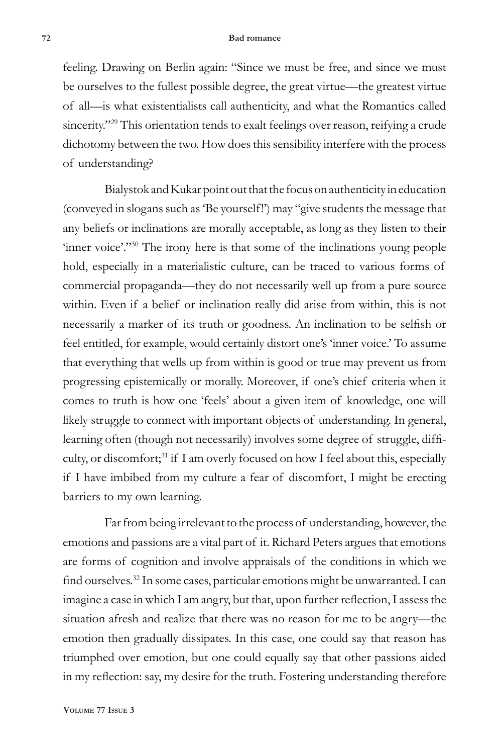feeling. Drawing on Berlin again: "Since we must be free, and since we must be ourselves to the fullest possible degree, the great virtue—the greatest virtue of all—is what existentialists call authenticity, and what the Romantics called sincerity."<sup>29</sup> This orientation tends to exalt feelings over reason, reifying a crude dichotomy between the two. How does this sensibility interfere with the process of understanding?

Bialystok and Kukar point out that the focus on authenticity in education (conveyed in slogans such as 'Be yourself!') may "give students the message that any beliefs or inclinations are morally acceptable, as long as they listen to their 'inner voice'."<sup>30</sup> The irony here is that some of the inclinations young people hold, especially in a materialistic culture, can be traced to various forms of commercial propaganda—they do not necessarily well up from a pure source within. Even if a belief or inclination really did arise from within, this is not necessarily a marker of its truth or goodness. An inclination to be selfish or feel entitled, for example, would certainly distort one's 'inner voice.' To assume that everything that wells up from within is good or true may prevent us from progressing epistemically or morally. Moreover, if one's chief criteria when it comes to truth is how one 'feels' about a given item of knowledge, one will likely struggle to connect with important objects of understanding. In general, learning often (though not necessarily) involves some degree of struggle, difficulty, or discomfort;<sup>31</sup> if I am overly focused on how I feel about this, especially if I have imbibed from my culture a fear of discomfort, I might be erecting barriers to my own learning.

Far from being irrelevant to the process of understanding, however, the emotions and passions are a vital part of it. Richard Peters argues that emotions are forms of cognition and involve appraisals of the conditions in which we find ourselves.32 In some cases, particular emotions might be unwarranted. I can imagine a case in which I am angry, but that, upon further reflection, I assess the situation afresh and realize that there was no reason for me to be angry—the emotion then gradually dissipates. In this case, one could say that reason has triumphed over emotion, but one could equally say that other passions aided in my reflection: say, my desire for the truth. Fostering understanding therefore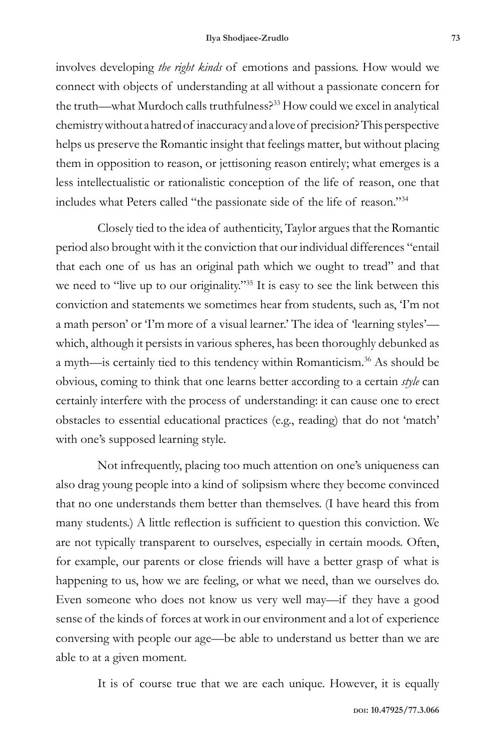involves developing *the right kinds* of emotions and passions. How would we connect with objects of understanding at all without a passionate concern for the truth—what Murdoch calls truthfulness?33 How could we excel in analytical chemistry without a hatred of inaccuracy and a love of precision? This perspective helps us preserve the Romantic insight that feelings matter, but without placing them in opposition to reason, or jettisoning reason entirely; what emerges is a less intellectualistic or rationalistic conception of the life of reason, one that includes what Peters called "the passionate side of the life of reason."34

Closely tied to the idea of authenticity, Taylor argues that the Romantic period also brought with it the conviction that our individual differences "entail that each one of us has an original path which we ought to tread" and that we need to "live up to our originality."<sup>35</sup> It is easy to see the link between this conviction and statements we sometimes hear from students, such as, 'I'm not a math person' or 'I'm more of a visual learner.' The idea of 'learning styles' which, although it persists in various spheres, has been thoroughly debunked as a myth—is certainly tied to this tendency within Romanticism.36 As should be obvious, coming to think that one learns better according to a certain *style* can certainly interfere with the process of understanding: it can cause one to erect obstacles to essential educational practices (e.g., reading) that do not 'match' with one's supposed learning style.

Not infrequently, placing too much attention on one's uniqueness can also drag young people into a kind of solipsism where they become convinced that no one understands them better than themselves. (I have heard this from many students.) A little reflection is sufficient to question this conviction. We are not typically transparent to ourselves, especially in certain moods. Often, for example, our parents or close friends will have a better grasp of what is happening to us, how we are feeling, or what we need, than we ourselves do. Even someone who does not know us very well may—if they have a good sense of the kinds of forces at work in our environment and a lot of experience conversing with people our age—be able to understand us better than we are able to at a given moment.

It is of course true that we are each unique. However, it is equally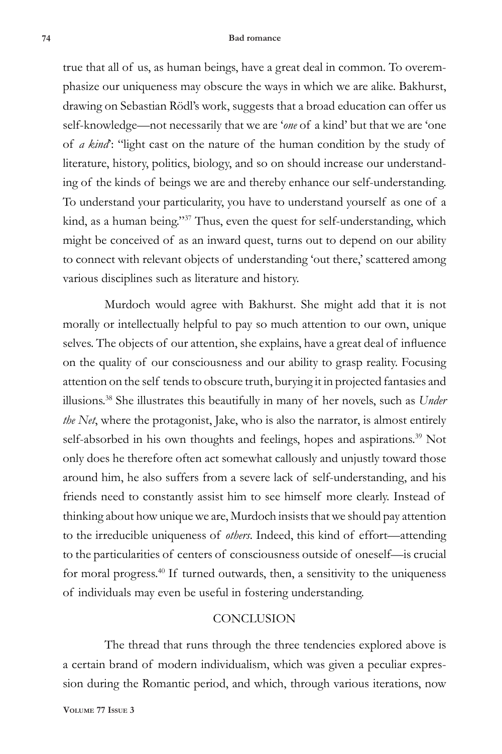#### **74 Bad romance**

true that all of us, as human beings, have a great deal in common. To overemphasize our uniqueness may obscure the ways in which we are alike. Bakhurst, drawing on Sebastian Rödl's work, suggests that a broad education can offer us self-knowledge—not necessarily that we are '*one* of a kind' but that we are 'one of *a kind*': "light cast on the nature of the human condition by the study of literature, history, politics, biology, and so on should increase our understanding of the kinds of beings we are and thereby enhance our self-understanding. To understand your particularity, you have to understand yourself as one of a kind, as a human being."37 Thus, even the quest for self-understanding, which might be conceived of as an inward quest, turns out to depend on our ability to connect with relevant objects of understanding 'out there,' scattered among various disciplines such as literature and history.

Murdoch would agree with Bakhurst. She might add that it is not morally or intellectually helpful to pay so much attention to our own, unique selves. The objects of our attention, she explains, have a great deal of influence on the quality of our consciousness and our ability to grasp reality. Focusing attention on the self tends to obscure truth, burying it in projected fantasies and illusions.38 She illustrates this beautifully in many of her novels, such as *Under the Net*, where the protagonist, Jake, who is also the narrator, is almost entirely self-absorbed in his own thoughts and feelings, hopes and aspirations.<sup>39</sup> Not only does he therefore often act somewhat callously and unjustly toward those around him, he also suffers from a severe lack of self-understanding, and his friends need to constantly assist him to see himself more clearly. Instead of thinking about how unique we are, Murdoch insists that we should pay attention to the irreducible uniqueness of *others*. Indeed, this kind of effort—attending to the particularities of centers of consciousness outside of oneself—is crucial for moral progress.<sup>40</sup> If turned outwards, then, a sensitivity to the uniqueness of individuals may even be useful in fostering understanding.

### **CONCLUSION**

The thread that runs through the three tendencies explored above is a certain brand of modern individualism, which was given a peculiar expression during the Romantic period, and which, through various iterations, now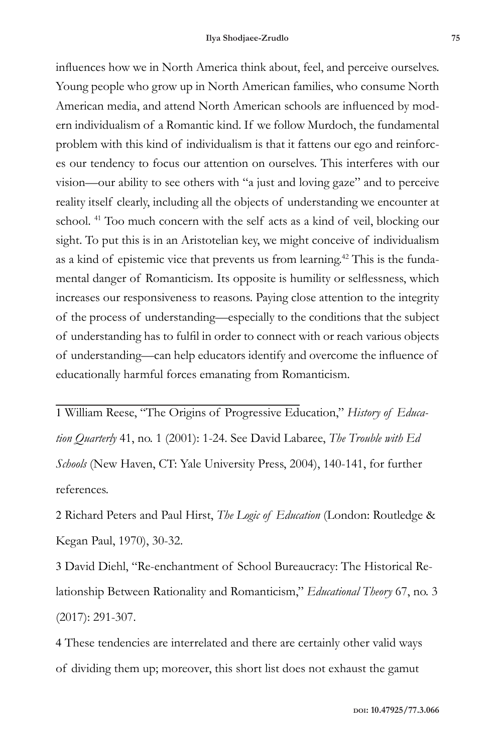influences how we in North America think about, feel, and perceive ourselves. Young people who grow up in North American families, who consume North American media, and attend North American schools are influenced by modern individualism of a Romantic kind. If we follow Murdoch, the fundamental problem with this kind of individualism is that it fattens our ego and reinforces our tendency to focus our attention on ourselves. This interferes with our vision—our ability to see others with "a just and loving gaze" and to perceive reality itself clearly, including all the objects of understanding we encounter at school. 41 Too much concern with the self acts as a kind of veil, blocking our sight. To put this is in an Aristotelian key, we might conceive of individualism as a kind of epistemic vice that prevents us from learning.<sup>42</sup> This is the fundamental danger of Romanticism. Its opposite is humility or selflessness, which increases our responsiveness to reasons. Paying close attention to the integrity of the process of understanding—especially to the conditions that the subject of understanding has to fulfil in order to connect with or reach various objects of understanding—can help educators identify and overcome the influence of educationally harmful forces emanating from Romanticism.

1 William Reese, "The Origins of Progressive Education," *History of Education Quarterly* 41, no. 1 (2001): 1-24. See David Labaree, *The Trouble with Ed Schools* (New Haven, CT: Yale University Press, 2004), 140-141, for further references.

2 Richard Peters and Paul Hirst, *The Logic of Education* (London: Routledge & Kegan Paul, 1970), 30-32.

3 David Diehl, "Re-enchantment of School Bureaucracy: The Historical Relationship Between Rationality and Romanticism," *Educational Theory* 67, no. 3 (2017): 291-307.

4 These tendencies are interrelated and there are certainly other valid ways of dividing them up; moreover, this short list does not exhaust the gamut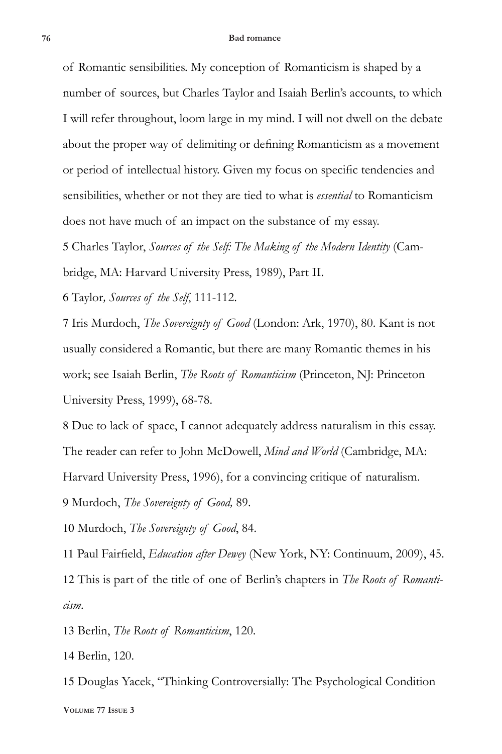of Romantic sensibilities. My conception of Romanticism is shaped by a number of sources, but Charles Taylor and Isaiah Berlin's accounts, to which I will refer throughout, loom large in my mind. I will not dwell on the debate about the proper way of delimiting or defining Romanticism as a movement or period of intellectual history. Given my focus on specific tendencies and sensibilities, whether or not they are tied to what is *essential* to Romanticism does not have much of an impact on the substance of my essay.

5 Charles Taylor, *Sources of the Self: The Making of the Modern Identity* (Cambridge, MA: Harvard University Press, 1989), Part II.

6 Taylor*, Sources of the Self*, 111-112.

7 Iris Murdoch, *The Sovereignty of Good* (London: Ark, 1970), 80. Kant is not usually considered a Romantic, but there are many Romantic themes in his work; see Isaiah Berlin, *The Roots of Romanticism* (Princeton, NJ: Princeton University Press, 1999), 68-78.

8 Due to lack of space, I cannot adequately address naturalism in this essay. The reader can refer to John McDowell, *Mind and World* (Cambridge, MA: Harvard University Press, 1996), for a convincing critique of naturalism. 9 Murdoch, *The Sovereignty of Good,* 89.

10 Murdoch, *The Sovereignty of Good*, 84.

11 Paul Fairfield, *Education after Dewey* (New York, NY: Continuum, 2009), 45. 12 This is part of the title of one of Berlin's chapters in *The Roots of Romanticism*.

13 Berlin, *The Roots of Romanticism*, 120.

14 Berlin, 120.

**Volume 77 Issue 3** 15 Douglas Yacek, "Thinking Controversially: The Psychological Condition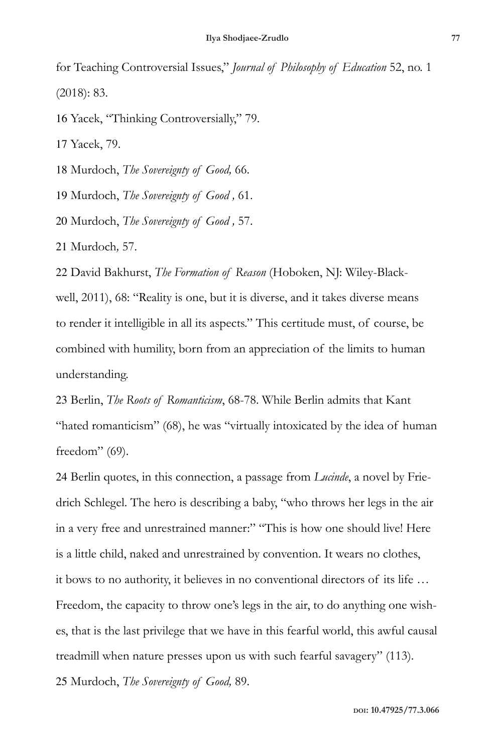for Teaching Controversial Issues," *Journal of Philosophy of Education* 52, no. 1 (2018): 83.

16 Yacek, "Thinking Controversially," 79.

17 Yacek, 79.

18 Murdoch, *The Sovereignty of Good,* 66.

19 Murdoch, *The Sovereignty of Good ,* 61.

20 Murdoch, *The Sovereignty of Good ,* 57.

21 Murdoch*,* 57.

22 David Bakhurst, *The Formation of Reason* (Hoboken, NJ: Wiley-Blackwell, 2011), 68: "Reality is one, but it is diverse, and it takes diverse means to render it intelligible in all its aspects." This certitude must, of course, be combined with humility, born from an appreciation of the limits to human understanding.

23 Berlin, *The Roots of Romanticism*, 68-78. While Berlin admits that Kant "hated romanticism" (68), he was "virtually intoxicated by the idea of human freedom" (69).

24 Berlin quotes, in this connection, a passage from *Lucinde*, a novel by Friedrich Schlegel. The hero is describing a baby, "who throws her legs in the air in a very free and unrestrained manner:" "This is how one should live! Here is a little child, naked and unrestrained by convention. It wears no clothes, it bows to no authority, it believes in no conventional directors of its life … Freedom, the capacity to throw one's legs in the air, to do anything one wishes, that is the last privilege that we have in this fearful world, this awful causal treadmill when nature presses upon us with such fearful savagery" (113).

25 Murdoch, *The Sovereignty of Good,* 89.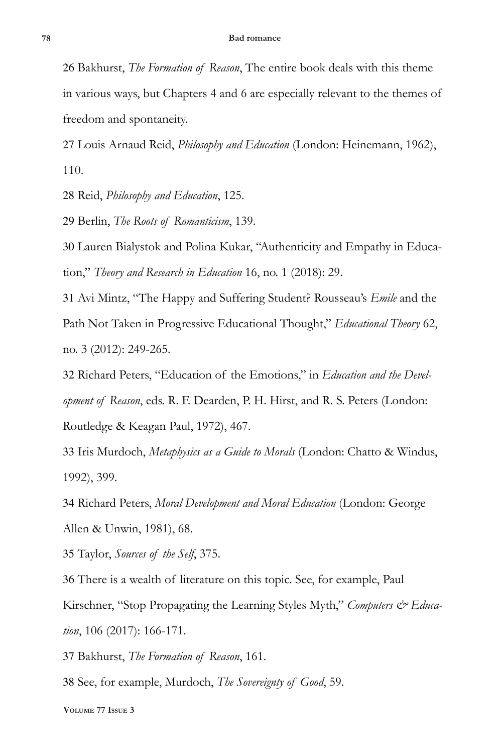26 Bakhurst, *The Formation of Reason*, The entire book deals with this theme in various ways, but Chapters 4 and 6 are especially relevant to the themes of freedom and spontaneity.

27 Louis Arnaud Reid, *Philosophy and Education* (London: Heinemann, 1962), 110.

28 Reid, *Philosophy and Education*, 125.

29 Berlin, *The Roots of Romanticism*, 139.

30 Lauren Bialystok and Polina Kukar, "Authenticity and Empathy in Education," *Theory and Research in Education* 16, no. 1 (2018): 29.

31 Avi Mintz, "The Happy and Suffering Student? Rousseau's *Emile* and the Path Not Taken in Progressive Educational Thought," *Educational Theory* 62, no. 3 (2012): 249-265.

32 Richard Peters, "Education of the Emotions," in *Education and the Development of Reason*, eds. R. F. Dearden, P. H. Hirst, and R. S. Peters (London: Routledge & Keagan Paul, 1972), 467.

33 Iris Murdoch, *Metaphysics as a Guide to Morals* (London: Chatto & Windus, 1992), 399.

34 Richard Peters, *Moral Development and Moral Education* (London: George Allen & Unwin, 1981), 68.

35 Taylor, *Sources of the Self*, 375.

36 There is a wealth of literature on this topic. See, for example, Paul Kirschner, "Stop Propagating the Learning Styles Myth," *Computers & Education*, 106 (2017): 166-171.

37 Bakhurst, *The Formation of Reason*, 161.

38 See, for example, Murdoch, *The Sovereignty of Good*, 59.

**Volume 77 Issue 3**